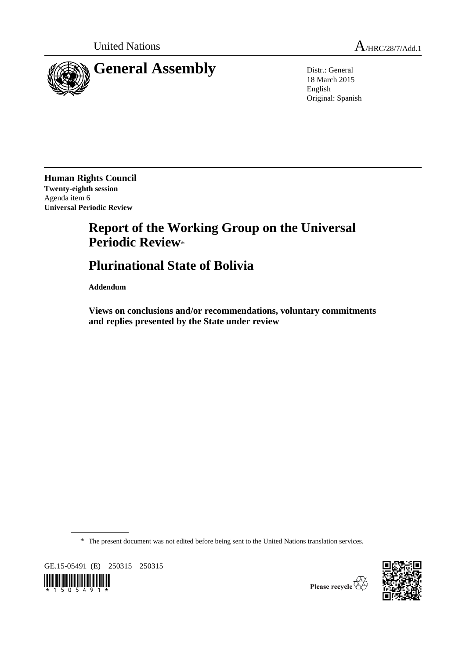

18 March 2015 English Original: Spanish

**Human Rights Council Twenty-eighth session** Agenda item 6 **Universal Periodic Review**

## **Report of the Working Group on the Universal Periodic Review**\*

## **Plurinational State of Bolivia**

**Addendum**

**Views on conclusions and/or recommendations, voluntary commitments and replies presented by the State under review**

\* The present document was not edited before being sent to the United Nations translation services.

GE.15-05491 (E) 250315 250315





Please recycle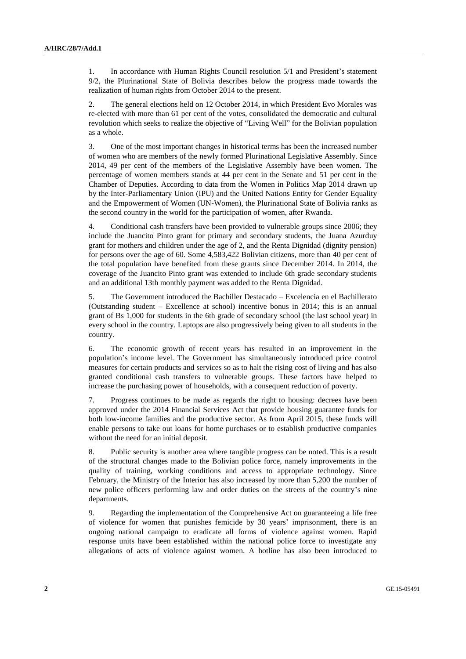1. In accordance with Human Rights Council resolution 5/1 and President's statement 9/2, the Plurinational State of Bolivia describes below the progress made towards the realization of human rights from October 2014 to the present.

2. The general elections held on 12 October 2014, in which President Evo Morales was re-elected with more than 61 per cent of the votes, consolidated the democratic and cultural revolution which seeks to realize the objective of "Living Well" for the Bolivian population as a whole.

3. One of the most important changes in historical terms has been the increased number of women who are members of the newly formed Plurinational Legislative Assembly. Since 2014, 49 per cent of the members of the Legislative Assembly have been women. The percentage of women members stands at 44 per cent in the Senate and 51 per cent in the Chamber of Deputies. According to data from the Women in Politics Map 2014 drawn up by the Inter-Parliamentary Union (IPU) and the United Nations Entity for Gender Equality and the Empowerment of Women (UN-Women), the Plurinational State of Bolivia ranks as the second country in the world for the participation of women, after Rwanda.

4. Conditional cash transfers have been provided to vulnerable groups since 2006; they include the Juancito Pinto grant for primary and secondary students, the Juana Azurduy grant for mothers and children under the age of 2, and the Renta Dignidad (dignity pension) for persons over the age of 60. Some 4,583,422 Bolivian citizens, more than 40 per cent of the total population have benefited from these grants since December 2014. In 2014, the coverage of the Juancito Pinto grant was extended to include 6th grade secondary students and an additional 13th monthly payment was added to the Renta Dignidad.

5. The Government introduced the Bachiller Destacado – Excelencia en el Bachillerato (Outstanding student – Excellence at school) incentive bonus in 2014; this is an annual grant of Bs 1,000 for students in the 6th grade of secondary school (the last school year) in every school in the country. Laptops are also progressively being given to all students in the country.

6. The economic growth of recent years has resulted in an improvement in the population's income level. The Government has simultaneously introduced price control measures for certain products and services so as to halt the rising cost of living and has also granted conditional cash transfers to vulnerable groups. These factors have helped to increase the purchasing power of households, with a consequent reduction of poverty.

7. Progress continues to be made as regards the right to housing: decrees have been approved under the 2014 Financial Services Act that provide housing guarantee funds for both low-income families and the productive sector. As from April 2015, these funds will enable persons to take out loans for home purchases or to establish productive companies without the need for an initial deposit.

8. Public security is another area where tangible progress can be noted. This is a result of the structural changes made to the Bolivian police force, namely improvements in the quality of training, working conditions and access to appropriate technology. Since February, the Ministry of the Interior has also increased by more than 5,200 the number of new police officers performing law and order duties on the streets of the country's nine departments.

9. Regarding the implementation of the Comprehensive Act on guaranteeing a life free of violence for women that punishes femicide by 30 years' imprisonment, there is an ongoing national campaign to eradicate all forms of violence against women. Rapid response units have been established within the national police force to investigate any allegations of acts of violence against women. A hotline has also been introduced to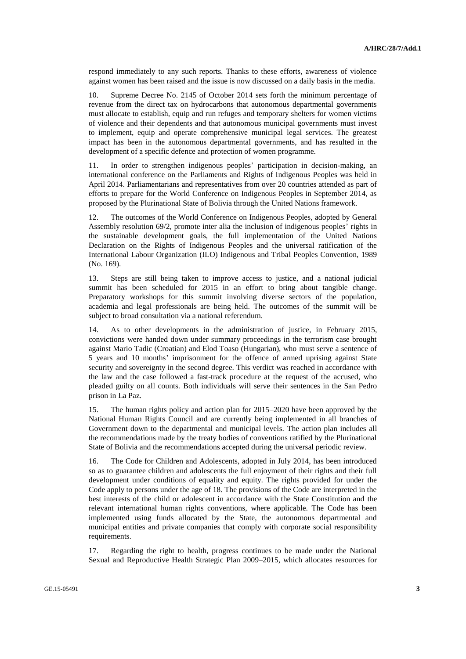respond immediately to any such reports. Thanks to these efforts, awareness of violence against women has been raised and the issue is now discussed on a daily basis in the media.

10. Supreme Decree No. 2145 of October 2014 sets forth the minimum percentage of revenue from the direct tax on hydrocarbons that autonomous departmental governments must allocate to establish, equip and run refuges and temporary shelters for women victims of violence and their dependents and that autonomous municipal governments must invest to implement, equip and operate comprehensive municipal legal services. The greatest impact has been in the autonomous departmental governments, and has resulted in the development of a specific defence and protection of women programme.

11. In order to strengthen indigenous peoples' participation in decision-making, an international conference on the Parliaments and Rights of Indigenous Peoples was held in April 2014. Parliamentarians and representatives from over 20 countries attended as part of efforts to prepare for the World Conference on Indigenous Peoples in September 2014, as proposed by the Plurinational State of Bolivia through the United Nations framework.

12. The outcomes of the World Conference on Indigenous Peoples, adopted by General Assembly resolution 69/2, promote inter alia the inclusion of indigenous peoples' rights in the sustainable development goals, the full implementation of the United Nations Declaration on the Rights of Indigenous Peoples and the universal ratification of the International Labour Organization (ILO) Indigenous and Tribal Peoples Convention, 1989 (No. 169).

13. Steps are still being taken to improve access to justice, and a national judicial summit has been scheduled for 2015 in an effort to bring about tangible change. Preparatory workshops for this summit involving diverse sectors of the population, academia and legal professionals are being held. The outcomes of the summit will be subject to broad consultation via a national referendum.

14. As to other developments in the administration of justice, in February 2015, convictions were handed down under summary proceedings in the terrorism case brought against Mario Tadic (Croatian) and Elod Toaso (Hungarian), who must serve a sentence of 5 years and 10 months' imprisonment for the offence of armed uprising against State security and sovereignty in the second degree. This verdict was reached in accordance with the law and the case followed a fast-track procedure at the request of the accused, who pleaded guilty on all counts. Both individuals will serve their sentences in the San Pedro prison in La Paz.

15. The human rights policy and action plan for 2015–2020 have been approved by the National Human Rights Council and are currently being implemented in all branches of Government down to the departmental and municipal levels. The action plan includes all the recommendations made by the treaty bodies of conventions ratified by the Plurinational State of Bolivia and the recommendations accepted during the universal periodic review.

16. The Code for Children and Adolescents, adopted in July 2014, has been introduced so as to guarantee children and adolescents the full enjoyment of their rights and their full development under conditions of equality and equity. The rights provided for under the Code apply to persons under the age of 18. The provisions of the Code are interpreted in the best interests of the child or adolescent in accordance with the State Constitution and the relevant international human rights conventions, where applicable. The Code has been implemented using funds allocated by the State, the autonomous departmental and municipal entities and private companies that comply with corporate social responsibility requirements.

17. Regarding the right to health, progress continues to be made under the National Sexual and Reproductive Health Strategic Plan 2009–2015, which allocates resources for